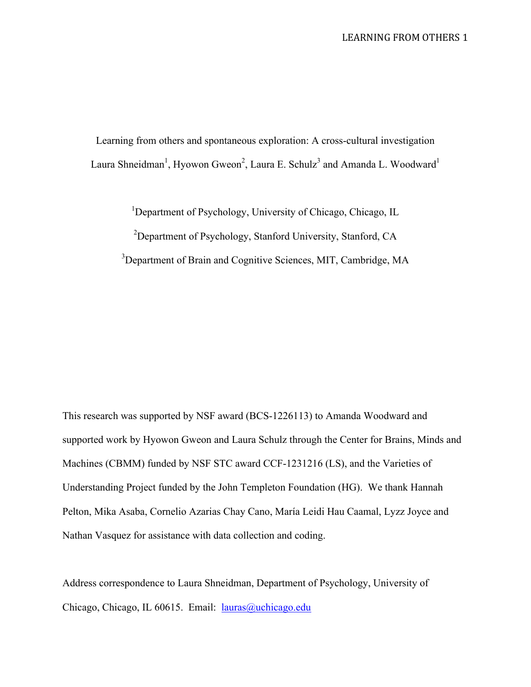Learning from others and spontaneous exploration: A cross-cultural investigation Laura Shneidman<sup>1</sup>, Hyowon Gweon<sup>2</sup>, Laura E. Schulz<sup>3</sup> and Amanda L. Woodward<sup>1</sup>

<sup>1</sup>Department of Psychology, University of Chicago, Chicago, IL <sup>2</sup>Department of Psychology, Stanford University, Stanford, CA <sup>3</sup>Department of Brain and Cognitive Sciences, MIT, Cambridge, MA

This research was supported by NSF award (BCS-1226113) to Amanda Woodward and supported work by Hyowon Gweon and Laura Schulz through the Center for Brains, Minds and Machines (CBMM) funded by NSF STC award CCF-1231216 (LS), and the Varieties of Understanding Project funded by the John Templeton Foundation (HG). We thank Hannah Pelton, Mika Asaba, Cornelio Azarias Chay Cano, María Leidi Hau Caamal, Lyzz Joyce and Nathan Vasquez for assistance with data collection and coding.

Address correspondence to Laura Shneidman, Department of Psychology, University of Chicago, Chicago, IL 60615. Email: lauras@uchicago.edu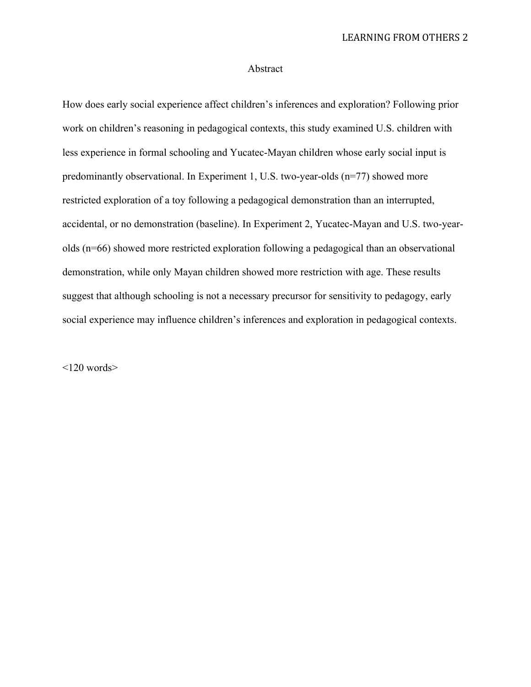# Abstract

How does early social experience affect children's inferences and exploration? Following prior work on children's reasoning in pedagogical contexts, this study examined U.S. children with less experience in formal schooling and Yucatec-Mayan children whose early social input is predominantly observational. In Experiment 1, U.S. two-year-olds (n=77) showed more restricted exploration of a toy following a pedagogical demonstration than an interrupted, accidental, or no demonstration (baseline). In Experiment 2, Yucatec-Mayan and U.S. two-yearolds (n=66) showed more restricted exploration following a pedagogical than an observational demonstration, while only Mayan children showed more restriction with age. These results suggest that although schooling is not a necessary precursor for sensitivity to pedagogy, early social experience may influence children's inferences and exploration in pedagogical contexts.

 $<$ 120 words $>$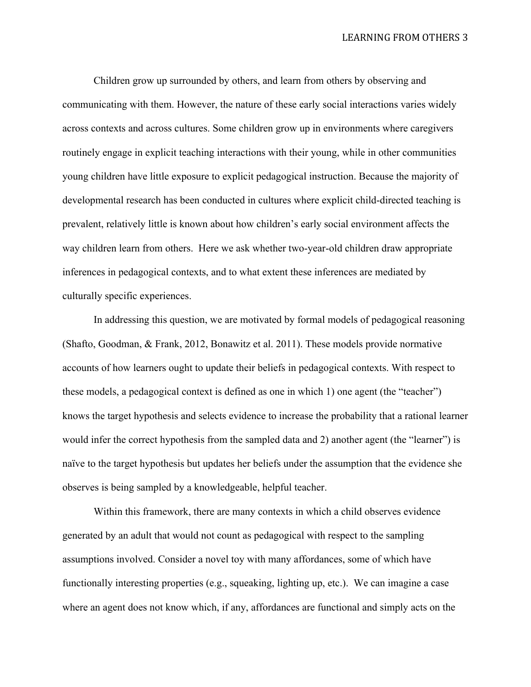LEARNING FROM OTHERS 3

Children grow up surrounded by others, and learn from others by observing and communicating with them. However, the nature of these early social interactions varies widely across contexts and across cultures. Some children grow up in environments where caregivers routinely engage in explicit teaching interactions with their young, while in other communities young children have little exposure to explicit pedagogical instruction. Because the majority of developmental research has been conducted in cultures where explicit child-directed teaching is prevalent, relatively little is known about how children's early social environment affects the way children learn from others. Here we ask whether two-year-old children draw appropriate inferences in pedagogical contexts, and to what extent these inferences are mediated by culturally specific experiences.

In addressing this question, we are motivated by formal models of pedagogical reasoning (Shafto, Goodman, & Frank, 2012, Bonawitz et al. 2011). These models provide normative accounts of how learners ought to update their beliefs in pedagogical contexts. With respect to these models, a pedagogical context is defined as one in which 1) one agent (the "teacher") knows the target hypothesis and selects evidence to increase the probability that a rational learner would infer the correct hypothesis from the sampled data and 2) another agent (the "learner") is naïve to the target hypothesis but updates her beliefs under the assumption that the evidence she observes is being sampled by a knowledgeable, helpful teacher.

Within this framework, there are many contexts in which a child observes evidence generated by an adult that would not count as pedagogical with respect to the sampling assumptions involved. Consider a novel toy with many affordances, some of which have functionally interesting properties (e.g., squeaking, lighting up, etc.). We can imagine a case where an agent does not know which, if any, affordances are functional and simply acts on the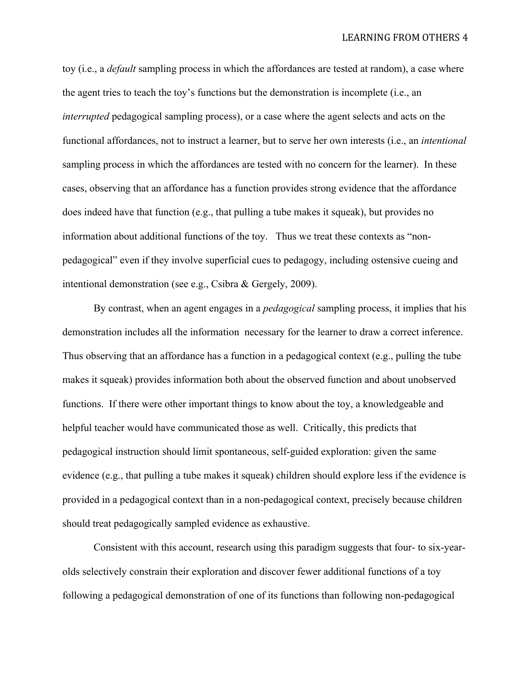toy (i.e., a *default* sampling process in which the affordances are tested at random), a case where the agent tries to teach the toy's functions but the demonstration is incomplete (i.e., an *interrupted* pedagogical sampling process), or a case where the agent selects and acts on the functional affordances, not to instruct a learner, but to serve her own interests (i.e., an *intentional* sampling process in which the affordances are tested with no concern for the learner). In these cases, observing that an affordance has a function provides strong evidence that the affordance does indeed have that function (e.g., that pulling a tube makes it squeak), but provides no information about additional functions of the toy. Thus we treat these contexts as "nonpedagogical" even if they involve superficial cues to pedagogy, including ostensive cueing and intentional demonstration (see e.g., Csibra & Gergely, 2009).

By contrast, when an agent engages in a *pedagogical* sampling process, it implies that his demonstration includes all the information necessary for the learner to draw a correct inference. Thus observing that an affordance has a function in a pedagogical context (e.g., pulling the tube makes it squeak) provides information both about the observed function and about unobserved functions. If there were other important things to know about the toy, a knowledgeable and helpful teacher would have communicated those as well. Critically, this predicts that pedagogical instruction should limit spontaneous, self-guided exploration: given the same evidence (e.g., that pulling a tube makes it squeak) children should explore less if the evidence is provided in a pedagogical context than in a non-pedagogical context, precisely because children should treat pedagogically sampled evidence as exhaustive.

Consistent with this account, research using this paradigm suggests that four- to six-yearolds selectively constrain their exploration and discover fewer additional functions of a toy following a pedagogical demonstration of one of its functions than following non-pedagogical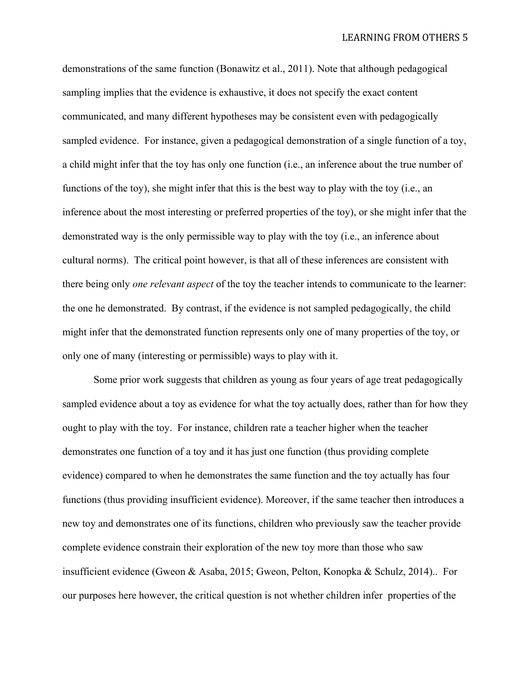LEARNING FROM OTHERS 5

demonstrations of the same function (Bonawitz et al., 2011). Note that although pedagogical sampling implies that the evidence is exhaustive, it does not specify the exact content communicated, and many different hypotheses may be consistent even with pedagogically sampled evidence. For instance, given a pedagogical demonstration of a single function of a toy, a child might infer that the toy has only one function (i.e., an inference about the true number of functions of the toy), she might infer that this is the best way to play with the toy (i.e., an inference about the most interesting or preferred properties of the toy), or she might infer that the demonstrated way is the only permissible way to play with the toy (i.e., an inference about cultural norms). The critical point however, is that all of these inferences are consistent with there being only *one relevant aspect* of the toy the teacher intends to communicate to the learner: the one he demonstrated. By contrast, if the evidence is not sampled pedagogically, the child might infer that the demonstrated function represents only one of many properties of the toy, or only one of many (interesting or permissible) ways to play with it.

Some prior work suggests that children as young as four years of age treat pedagogically sampled evidence about a toy as evidence for what the toy actually does, rather than for how they ought to play with the toy. For instance, children rate a teacher higher when the teacher demonstrates one function of a toy and it has just one function (thus providing complete evidence) compared to when he demonstrates the same function and the toy actually has four functions (thus providing insufficient evidence). Moreover, if the same teacher then introduces a new toy and demonstrates one of its functions, children who previously saw the teacher provide complete evidence constrain their exploration of the new toy more than those who saw insufficient evidence (Gweon & Asaba, 2015; Gweon, Pelton, Konopka & Schulz, 2014).. For our purposes here however, the critical question is not whether children infer properties of the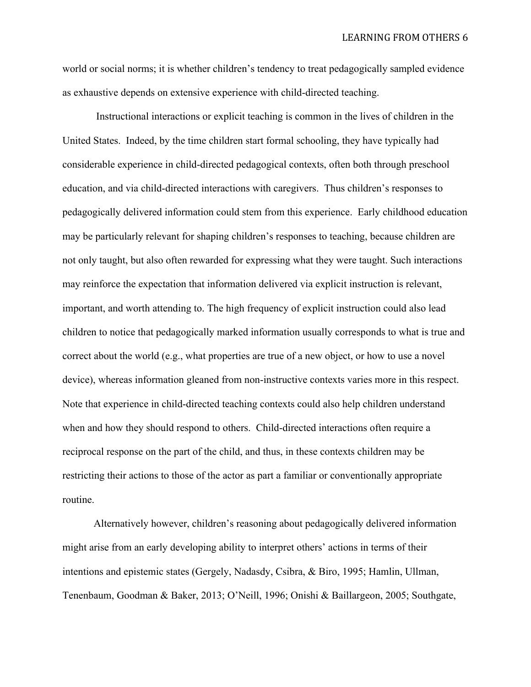LEARNING FROM OTHERS 6

world or social norms; it is whether children's tendency to treat pedagogically sampled evidence as exhaustive depends on extensive experience with child-directed teaching.

Instructional interactions or explicit teaching is common in the lives of children in the United States. Indeed, by the time children start formal schooling, they have typically had considerable experience in child-directed pedagogical contexts, often both through preschool education, and via child-directed interactions with caregivers. Thus children's responses to pedagogically delivered information could stem from this experience. Early childhood education may be particularly relevant for shaping children's responses to teaching, because children are not only taught, but also often rewarded for expressing what they were taught. Such interactions may reinforce the expectation that information delivered via explicit instruction is relevant, important, and worth attending to. The high frequency of explicit instruction could also lead children to notice that pedagogically marked information usually corresponds to what is true and correct about the world (e.g., what properties are true of a new object, or how to use a novel device), whereas information gleaned from non-instructive contexts varies more in this respect. Note that experience in child-directed teaching contexts could also help children understand when and how they should respond to others. Child-directed interactions often require a reciprocal response on the part of the child, and thus, in these contexts children may be restricting their actions to those of the actor as part a familiar or conventionally appropriate routine.

Alternatively however, children's reasoning about pedagogically delivered information might arise from an early developing ability to interpret others' actions in terms of their intentions and epistemic states (Gergely, Nadasdy, Csibra, & Biro, 1995; Hamlin, Ullman, Tenenbaum, Goodman & Baker, 2013; O'Neill, 1996; Onishi & Baillargeon, 2005; Southgate,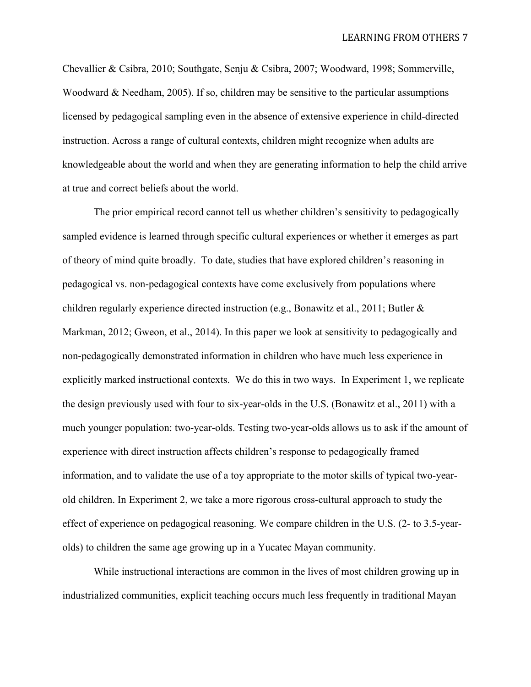Chevallier & Csibra, 2010; Southgate, Senju & Csibra, 2007; Woodward, 1998; Sommerville, Woodward & Needham, 2005). If so, children may be sensitive to the particular assumptions licensed by pedagogical sampling even in the absence of extensive experience in child-directed instruction. Across a range of cultural contexts, children might recognize when adults are knowledgeable about the world and when they are generating information to help the child arrive at true and correct beliefs about the world.

The prior empirical record cannot tell us whether children's sensitivity to pedagogically sampled evidence is learned through specific cultural experiences or whether it emerges as part of theory of mind quite broadly. To date, studies that have explored children's reasoning in pedagogical vs. non-pedagogical contexts have come exclusively from populations where children regularly experience directed instruction (e.g., Bonawitz et al., 2011; Butler & Markman, 2012; Gweon, et al., 2014). In this paper we look at sensitivity to pedagogically and non-pedagogically demonstrated information in children who have much less experience in explicitly marked instructional contexts. We do this in two ways. In Experiment 1, we replicate the design previously used with four to six-year-olds in the U.S. (Bonawitz et al., 2011) with a much younger population: two-year-olds. Testing two-year-olds allows us to ask if the amount of experience with direct instruction affects children's response to pedagogically framed information, and to validate the use of a toy appropriate to the motor skills of typical two-yearold children. In Experiment 2, we take a more rigorous cross-cultural approach to study the effect of experience on pedagogical reasoning. We compare children in the U.S. (2- to 3.5-yearolds) to children the same age growing up in a Yucatec Mayan community.

While instructional interactions are common in the lives of most children growing up in industrialized communities, explicit teaching occurs much less frequently in traditional Mayan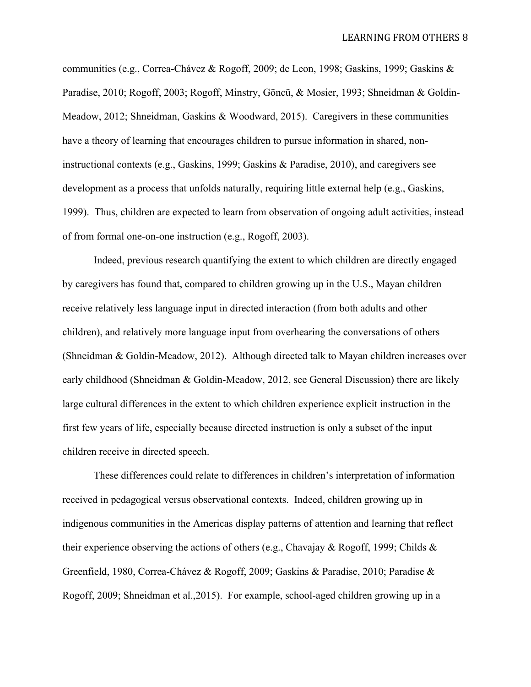LEARNING FROM OTHERS 8

communities (e.g., Correa-Chávez & Rogoff, 2009; de Leon, 1998; Gaskins, 1999; Gaskins & Paradise, 2010; Rogoff, 2003; Rogoff, Minstry, Göncü, & Mosier, 1993; Shneidman & Goldin-Meadow, 2012; Shneidman, Gaskins & Woodward, 2015). Caregivers in these communities have a theory of learning that encourages children to pursue information in shared, noninstructional contexts (e.g., Gaskins, 1999; Gaskins & Paradise, 2010), and caregivers see development as a process that unfolds naturally, requiring little external help (e.g., Gaskins, 1999). Thus, children are expected to learn from observation of ongoing adult activities, instead of from formal one-on-one instruction (e.g., Rogoff, 2003).

Indeed, previous research quantifying the extent to which children are directly engaged by caregivers has found that, compared to children growing up in the U.S., Mayan children receive relatively less language input in directed interaction (from both adults and other children), and relatively more language input from overhearing the conversations of others (Shneidman & Goldin-Meadow, 2012). Although directed talk to Mayan children increases over early childhood (Shneidman & Goldin-Meadow, 2012, see General Discussion) there are likely large cultural differences in the extent to which children experience explicit instruction in the first few years of life, especially because directed instruction is only a subset of the input children receive in directed speech.

These differences could relate to differences in children's interpretation of information received in pedagogical versus observational contexts. Indeed, children growing up in indigenous communities in the Americas display patterns of attention and learning that reflect their experience observing the actions of others (e.g., Chavajay & Rogoff, 1999; Childs & Greenfield, 1980, Correa-Chávez & Rogoff, 2009; Gaskins & Paradise, 2010; Paradise & Rogoff, 2009; Shneidman et al.,2015). For example, school-aged children growing up in a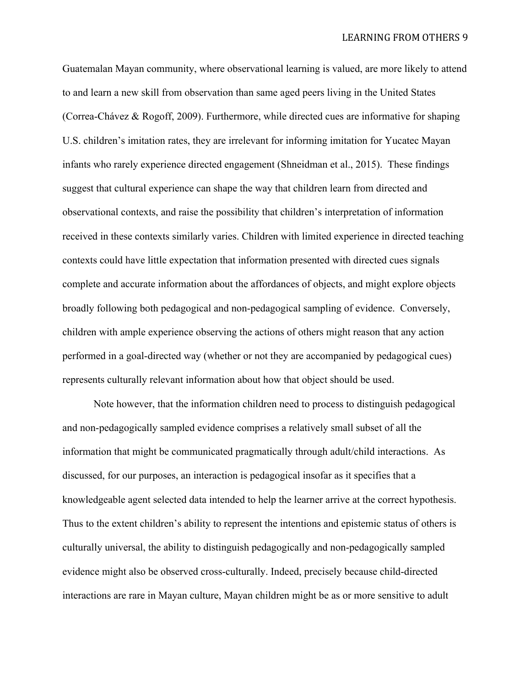Guatemalan Mayan community, where observational learning is valued, are more likely to attend to and learn a new skill from observation than same aged peers living in the United States (Correa-Chávez & Rogoff, 2009). Furthermore, while directed cues are informative for shaping U.S. children's imitation rates, they are irrelevant for informing imitation for Yucatec Mayan infants who rarely experience directed engagement (Shneidman et al., 2015). These findings suggest that cultural experience can shape the way that children learn from directed and observational contexts, and raise the possibility that children's interpretation of information received in these contexts similarly varies. Children with limited experience in directed teaching contexts could have little expectation that information presented with directed cues signals complete and accurate information about the affordances of objects, and might explore objects broadly following both pedagogical and non-pedagogical sampling of evidence. Conversely, children with ample experience observing the actions of others might reason that any action performed in a goal-directed way (whether or not they are accompanied by pedagogical cues) represents culturally relevant information about how that object should be used.

Note however, that the information children need to process to distinguish pedagogical and non-pedagogically sampled evidence comprises a relatively small subset of all the information that might be communicated pragmatically through adult/child interactions. As discussed, for our purposes, an interaction is pedagogical insofar as it specifies that a knowledgeable agent selected data intended to help the learner arrive at the correct hypothesis. Thus to the extent children's ability to represent the intentions and epistemic status of others is culturally universal, the ability to distinguish pedagogically and non-pedagogically sampled evidence might also be observed cross-culturally. Indeed, precisely because child-directed interactions are rare in Mayan culture, Mayan children might be as or more sensitive to adult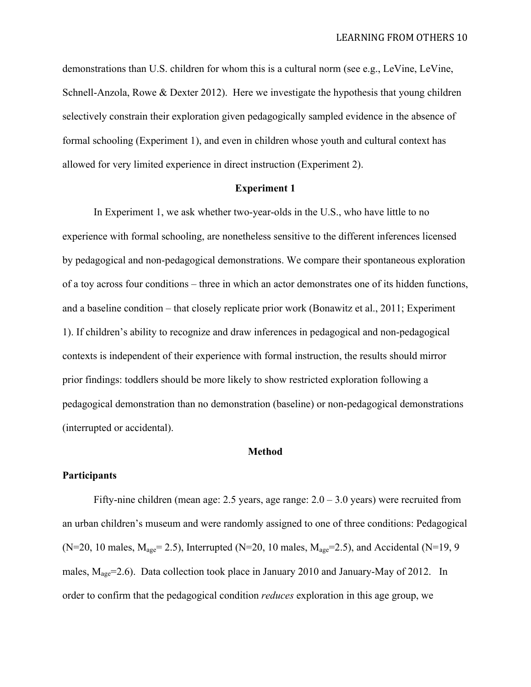demonstrations than U.S. children for whom this is a cultural norm (see e.g., LeVine, LeVine, Schnell-Anzola, Rowe & Dexter 2012). Here we investigate the hypothesis that young children selectively constrain their exploration given pedagogically sampled evidence in the absence of formal schooling (Experiment 1), and even in children whose youth and cultural context has allowed for very limited experience in direct instruction (Experiment 2).

## **Experiment 1**

In Experiment 1, we ask whether two-year-olds in the U.S., who have little to no experience with formal schooling, are nonetheless sensitive to the different inferences licensed by pedagogical and non-pedagogical demonstrations. We compare their spontaneous exploration of a toy across four conditions – three in which an actor demonstrates one of its hidden functions, and a baseline condition – that closely replicate prior work (Bonawitz et al., 2011; Experiment 1). If children's ability to recognize and draw inferences in pedagogical and non-pedagogical contexts is independent of their experience with formal instruction, the results should mirror prior findings: toddlers should be more likely to show restricted exploration following a pedagogical demonstration than no demonstration (baseline) or non-pedagogical demonstrations (interrupted or accidental).

#### **Method**

## **Participants**

Fifty-nine children (mean age: 2.5 years, age range:  $2.0 - 3.0$  years) were recruited from an urban children's museum and were randomly assigned to one of three conditions: Pedagogical (N=20, 10 males,  $M_{\text{age}}$ = 2.5), Interrupted (N=20, 10 males,  $M_{\text{age}}$ =2.5), and Accidental (N=19, 9 males,  $M_{\text{age}}$ =2.6). Data collection took place in January 2010 and January-May of 2012. In order to confirm that the pedagogical condition *reduces* exploration in this age group, we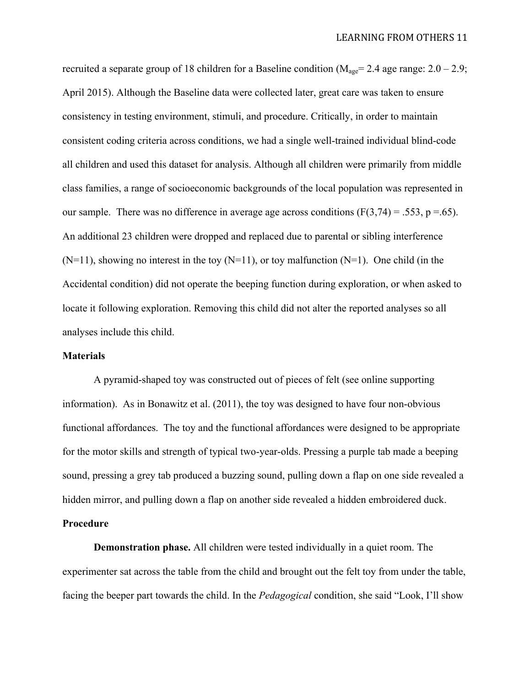recruited a separate group of 18 children for a Baseline condition ( $M_{\text{age}}$  = 2.4 age range: 2.0 – 2.9; April 2015). Although the Baseline data were collected later, great care was taken to ensure consistency in testing environment, stimuli, and procedure. Critically, in order to maintain consistent coding criteria across conditions, we had a single well-trained individual blind-code all children and used this dataset for analysis. Although all children were primarily from middle class families, a range of socioeconomic backgrounds of the local population was represented in our sample. There was no difference in average age across conditions  $(F(3,74) = .553, p = .65)$ . An additional 23 children were dropped and replaced due to parental or sibling interference  $(N=11)$ , showing no interest in the toy  $(N=11)$ , or toy malfunction  $(N=1)$ . One child (in the Accidental condition) did not operate the beeping function during exploration, or when asked to locate it following exploration. Removing this child did not alter the reported analyses so all analyses include this child.

#### **Materials**

A pyramid-shaped toy was constructed out of pieces of felt (see online supporting information). As in Bonawitz et al. (2011), the toy was designed to have four non-obvious functional affordances. The toy and the functional affordances were designed to be appropriate for the motor skills and strength of typical two-year-olds. Pressing a purple tab made a beeping sound, pressing a grey tab produced a buzzing sound, pulling down a flap on one side revealed a hidden mirror, and pulling down a flap on another side revealed a hidden embroidered duck.

# **Procedure**

**Demonstration phase.** All children were tested individually in a quiet room. The experimenter sat across the table from the child and brought out the felt toy from under the table, facing the beeper part towards the child. In the *Pedagogical* condition, she said "Look, I'll show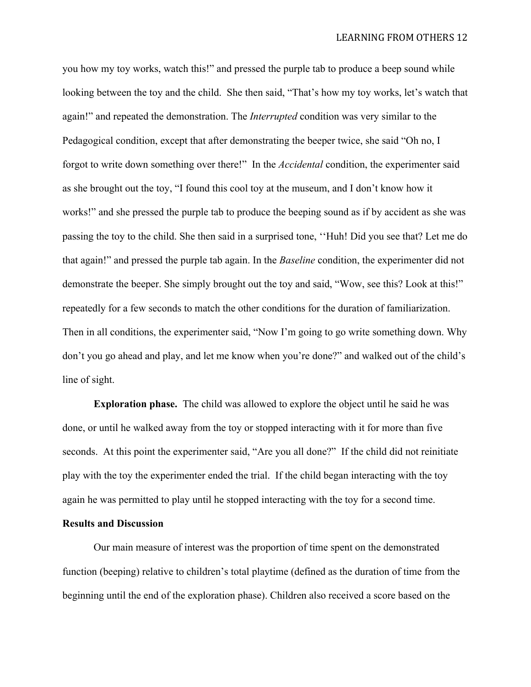you how my toy works, watch this!" and pressed the purple tab to produce a beep sound while looking between the toy and the child. She then said, "That's how my toy works, let's watch that again!" and repeated the demonstration. The *Interrupted* condition was very similar to the Pedagogical condition, except that after demonstrating the beeper twice, she said "Oh no, I forgot to write down something over there!" In the *Accidental* condition, the experimenter said as she brought out the toy, "I found this cool toy at the museum, and I don't know how it works!" and she pressed the purple tab to produce the beeping sound as if by accident as she was passing the toy to the child. She then said in a surprised tone, ''Huh! Did you see that? Let me do that again!" and pressed the purple tab again. In the *Baseline* condition, the experimenter did not demonstrate the beeper. She simply brought out the toy and said, "Wow, see this? Look at this!" repeatedly for a few seconds to match the other conditions for the duration of familiarization. Then in all conditions, the experimenter said, "Now I'm going to go write something down. Why don't you go ahead and play, and let me know when you're done?" and walked out of the child's line of sight.

**Exploration phase.** The child was allowed to explore the object until he said he was done, or until he walked away from the toy or stopped interacting with it for more than five seconds. At this point the experimenter said, "Are you all done?" If the child did not reinitiate play with the toy the experimenter ended the trial. If the child began interacting with the toy again he was permitted to play until he stopped interacting with the toy for a second time.

## **Results and Discussion**

Our main measure of interest was the proportion of time spent on the demonstrated function (beeping) relative to children's total playtime (defined as the duration of time from the beginning until the end of the exploration phase). Children also received a score based on the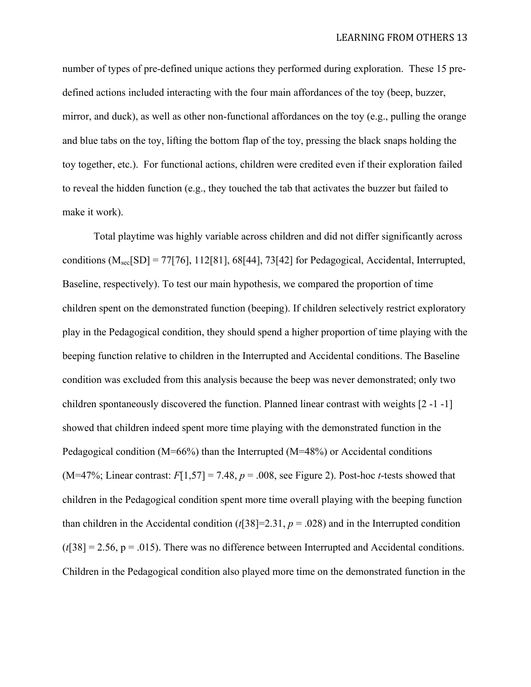number of types of pre-defined unique actions they performed during exploration. These 15 predefined actions included interacting with the four main affordances of the toy (beep, buzzer, mirror, and duck), as well as other non-functional affordances on the toy (e.g., pulling the orange and blue tabs on the toy, lifting the bottom flap of the toy, pressing the black snaps holding the toy together, etc.). For functional actions, children were credited even if their exploration failed to reveal the hidden function (e.g., they touched the tab that activates the buzzer but failed to make it work).

Total playtime was highly variable across children and did not differ significantly across conditions  $(M_{\text{sec}}[SD] = 77[76]$ , 112[81], 68[44], 73[42] for Pedagogical, Accidental, Interrupted, Baseline, respectively). To test our main hypothesis, we compared the proportion of time children spent on the demonstrated function (beeping). If children selectively restrict exploratory play in the Pedagogical condition, they should spend a higher proportion of time playing with the beeping function relative to children in the Interrupted and Accidental conditions. The Baseline condition was excluded from this analysis because the beep was never demonstrated; only two children spontaneously discovered the function. Planned linear contrast with weights [2 -1 -1] showed that children indeed spent more time playing with the demonstrated function in the Pedagogical condition (M=66%) than the Interrupted (M=48%) or Accidental conditions (M=47%; Linear contrast:  $F[1,57] = 7.48$ ,  $p = .008$ , see Figure 2). Post-hoc *t*-tests showed that children in the Pedagogical condition spent more time overall playing with the beeping function than children in the Accidental condition ( $t$ [38]=2.31,  $p = .028$ ) and in the Interrupted condition  $(t[38] = 2.56, p = .015)$ . There was no difference between Interrupted and Accidental conditions. Children in the Pedagogical condition also played more time on the demonstrated function in the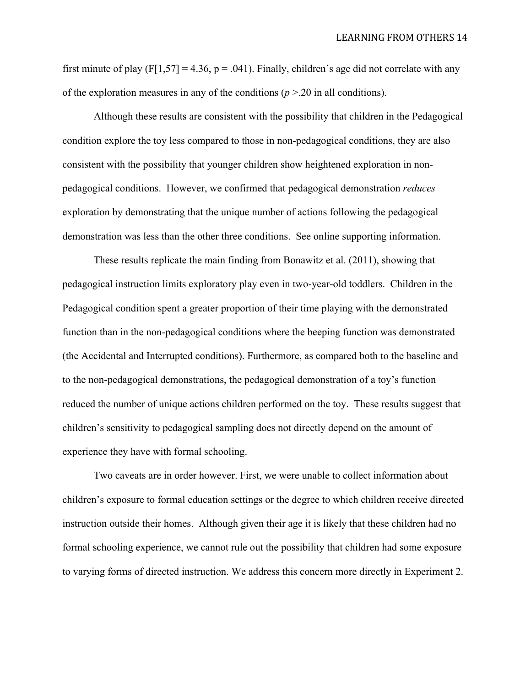first minute of play (F[1,57] = 4.36, p = .041). Finally, children's age did not correlate with any of the exploration measures in any of the conditions  $(p > 20$  in all conditions).

Although these results are consistent with the possibility that children in the Pedagogical condition explore the toy less compared to those in non-pedagogical conditions, they are also consistent with the possibility that younger children show heightened exploration in nonpedagogical conditions. However, we confirmed that pedagogical demonstration *reduces* exploration by demonstrating that the unique number of actions following the pedagogical demonstration was less than the other three conditions. See online supporting information.

These results replicate the main finding from Bonawitz et al. (2011), showing that pedagogical instruction limits exploratory play even in two-year-old toddlers. Children in the Pedagogical condition spent a greater proportion of their time playing with the demonstrated function than in the non-pedagogical conditions where the beeping function was demonstrated (the Accidental and Interrupted conditions). Furthermore, as compared both to the baseline and to the non-pedagogical demonstrations, the pedagogical demonstration of a toy's function reduced the number of unique actions children performed on the toy. These results suggest that children's sensitivity to pedagogical sampling does not directly depend on the amount of experience they have with formal schooling.

Two caveats are in order however. First, we were unable to collect information about children's exposure to formal education settings or the degree to which children receive directed instruction outside their homes. Although given their age it is likely that these children had no formal schooling experience, we cannot rule out the possibility that children had some exposure to varying forms of directed instruction. We address this concern more directly in Experiment 2.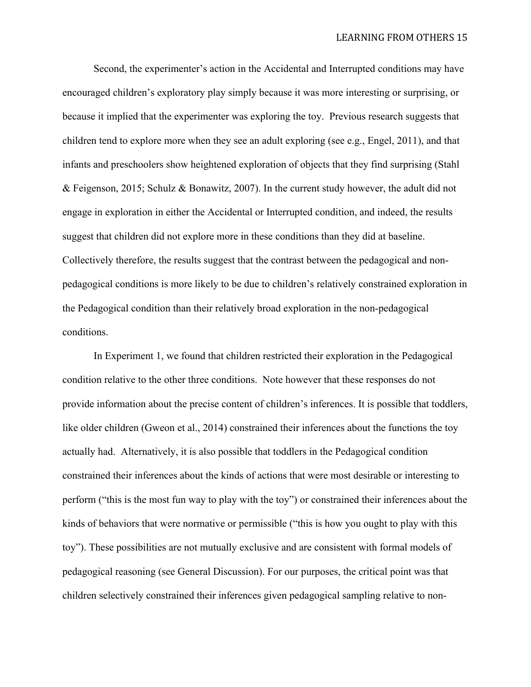Second, the experimenter's action in the Accidental and Interrupted conditions may have encouraged children's exploratory play simply because it was more interesting or surprising, or because it implied that the experimenter was exploring the toy. Previous research suggests that children tend to explore more when they see an adult exploring (see e.g., Engel, 2011), and that infants and preschoolers show heightened exploration of objects that they find surprising (Stahl & Feigenson, 2015; Schulz & Bonawitz, 2007). In the current study however, the adult did not engage in exploration in either the Accidental or Interrupted condition, and indeed, the results suggest that children did not explore more in these conditions than they did at baseline. Collectively therefore, the results suggest that the contrast between the pedagogical and nonpedagogical conditions is more likely to be due to children's relatively constrained exploration in the Pedagogical condition than their relatively broad exploration in the non-pedagogical conditions.

In Experiment 1, we found that children restricted their exploration in the Pedagogical condition relative to the other three conditions. Note however that these responses do not provide information about the precise content of children's inferences. It is possible that toddlers, like older children (Gweon et al., 2014) constrained their inferences about the functions the toy actually had. Alternatively, it is also possible that toddlers in the Pedagogical condition constrained their inferences about the kinds of actions that were most desirable or interesting to perform ("this is the most fun way to play with the toy") or constrained their inferences about the kinds of behaviors that were normative or permissible ("this is how you ought to play with this toy"). These possibilities are not mutually exclusive and are consistent with formal models of pedagogical reasoning (see General Discussion). For our purposes, the critical point was that children selectively constrained their inferences given pedagogical sampling relative to non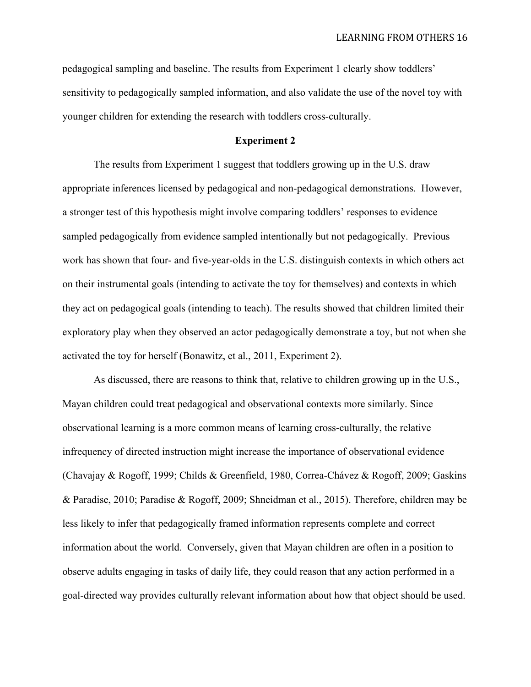pedagogical sampling and baseline. The results from Experiment 1 clearly show toddlers' sensitivity to pedagogically sampled information, and also validate the use of the novel toy with younger children for extending the research with toddlers cross-culturally.

## **Experiment 2**

The results from Experiment 1 suggest that toddlers growing up in the U.S. draw appropriate inferences licensed by pedagogical and non-pedagogical demonstrations. However, a stronger test of this hypothesis might involve comparing toddlers' responses to evidence sampled pedagogically from evidence sampled intentionally but not pedagogically. Previous work has shown that four- and five-year-olds in the U.S. distinguish contexts in which others act on their instrumental goals (intending to activate the toy for themselves) and contexts in which they act on pedagogical goals (intending to teach). The results showed that children limited their exploratory play when they observed an actor pedagogically demonstrate a toy, but not when she activated the toy for herself (Bonawitz, et al., 2011, Experiment 2).

As discussed, there are reasons to think that, relative to children growing up in the U.S., Mayan children could treat pedagogical and observational contexts more similarly. Since observational learning is a more common means of learning cross-culturally, the relative infrequency of directed instruction might increase the importance of observational evidence (Chavajay & Rogoff, 1999; Childs & Greenfield, 1980, Correa-Chávez & Rogoff, 2009; Gaskins & Paradise, 2010; Paradise & Rogoff, 2009; Shneidman et al., 2015). Therefore, children may be less likely to infer that pedagogically framed information represents complete and correct information about the world. Conversely, given that Mayan children are often in a position to observe adults engaging in tasks of daily life, they could reason that any action performed in a goal-directed way provides culturally relevant information about how that object should be used.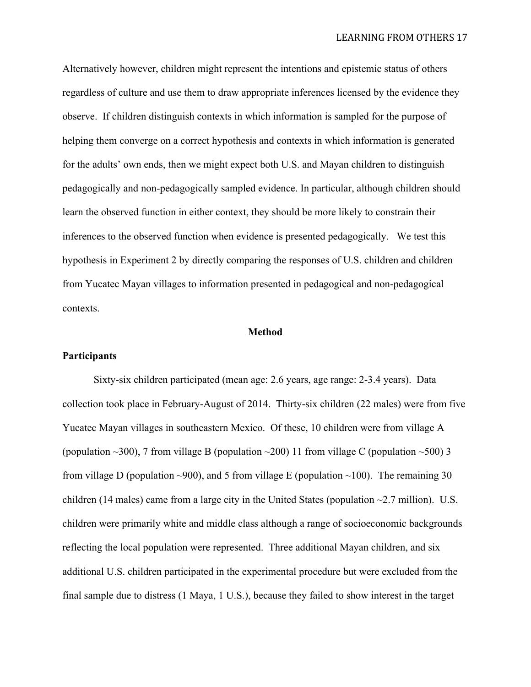Alternatively however, children might represent the intentions and epistemic status of others regardless of culture and use them to draw appropriate inferences licensed by the evidence they observe. If children distinguish contexts in which information is sampled for the purpose of helping them converge on a correct hypothesis and contexts in which information is generated for the adults' own ends, then we might expect both U.S. and Mayan children to distinguish pedagogically and non-pedagogically sampled evidence. In particular, although children should learn the observed function in either context, they should be more likely to constrain their inferences to the observed function when evidence is presented pedagogically. We test this hypothesis in Experiment 2 by directly comparing the responses of U.S. children and children from Yucatec Mayan villages to information presented in pedagogical and non-pedagogical contexts.

#### **Method**

#### **Participants**

Sixty-six children participated (mean age: 2.6 years, age range: 2-3.4 years). Data collection took place in February-August of 2014. Thirty-six children (22 males) were from five Yucatec Mayan villages in southeastern Mexico. Of these, 10 children were from village A (population  $\sim$ 300), 7 from village B (population  $\sim$ 200) 11 from village C (population  $\sim$ 500) 3 from village D (population ~900), and 5 from village E (population ~100). The remaining 30 children (14 males) came from a large city in the United States (population  $\sim$ 2.7 million). U.S. children were primarily white and middle class although a range of socioeconomic backgrounds reflecting the local population were represented. Three additional Mayan children, and six additional U.S. children participated in the experimental procedure but were excluded from the final sample due to distress (1 Maya, 1 U.S.), because they failed to show interest in the target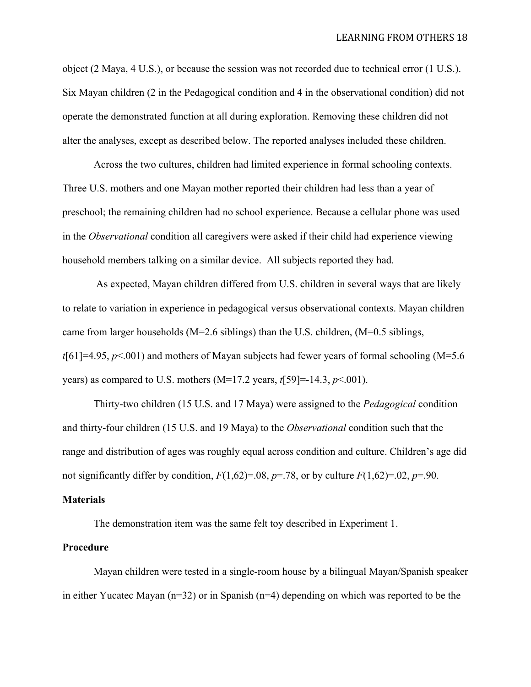object (2 Maya, 4 U.S.), or because the session was not recorded due to technical error (1 U.S.). Six Mayan children (2 in the Pedagogical condition and 4 in the observational condition) did not operate the demonstrated function at all during exploration. Removing these children did not alter the analyses, except as described below. The reported analyses included these children.

Across the two cultures, children had limited experience in formal schooling contexts. Three U.S. mothers and one Mayan mother reported their children had less than a year of preschool; the remaining children had no school experience. Because a cellular phone was used in the *Observational* condition all caregivers were asked if their child had experience viewing household members talking on a similar device. All subjects reported they had.

As expected, Mayan children differed from U.S. children in several ways that are likely to relate to variation in experience in pedagogical versus observational contexts. Mayan children came from larger households (M=2.6 siblings) than the U.S. children, (M=0.5 siblings, *t*[61]=4.95, *p*<.001) and mothers of Mayan subjects had fewer years of formal schooling (M=5.6 years) as compared to U.S. mothers (M=17.2 years, *t*[59]=-14.3, *p*<.001).

Thirty-two children (15 U.S. and 17 Maya) were assigned to the *Pedagogical* condition and thirty-four children (15 U.S. and 19 Maya) to the *Observational* condition such that the range and distribution of ages was roughly equal across condition and culture. Children's age did not significantly differ by condition,  $F(1,62)=0.08$ ,  $p=.78$ , or by culture  $F(1,62)=0.02$ ,  $p=.90$ .

#### **Materials**

The demonstration item was the same felt toy described in Experiment 1.

#### **Procedure**

Mayan children were tested in a single-room house by a bilingual Mayan/Spanish speaker in either Yucatec Mayan (n=32) or in Spanish (n=4) depending on which was reported to be the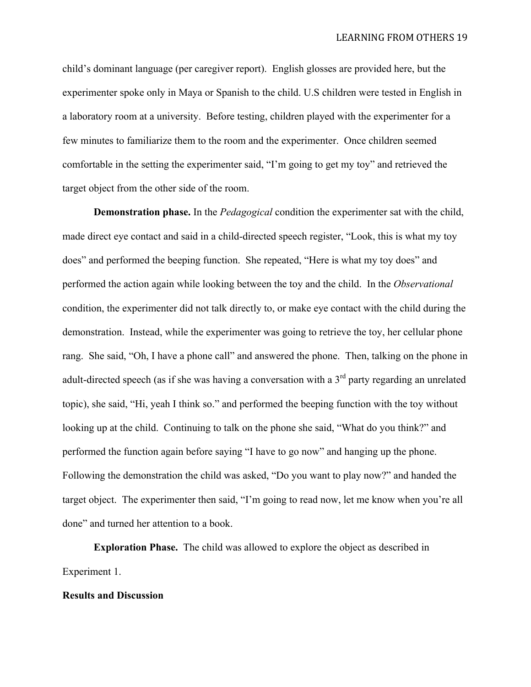child's dominant language (per caregiver report). English glosses are provided here, but the experimenter spoke only in Maya or Spanish to the child. U.S children were tested in English in a laboratory room at a university. Before testing, children played with the experimenter for a few minutes to familiarize them to the room and the experimenter. Once children seemed comfortable in the setting the experimenter said, "I'm going to get my toy" and retrieved the target object from the other side of the room.

**Demonstration phase.** In the *Pedagogical* condition the experimenter sat with the child, made direct eye contact and said in a child-directed speech register, "Look, this is what my toy does" and performed the beeping function. She repeated, "Here is what my toy does" and performed the action again while looking between the toy and the child. In the *Observational*  condition, the experimenter did not talk directly to, or make eye contact with the child during the demonstration. Instead, while the experimenter was going to retrieve the toy, her cellular phone rang. She said, "Oh, I have a phone call" and answered the phone. Then, talking on the phone in adult-directed speech (as if she was having a conversation with a  $3<sup>rd</sup>$  party regarding an unrelated topic), she said, "Hi, yeah I think so." and performed the beeping function with the toy without looking up at the child. Continuing to talk on the phone she said, "What do you think?" and performed the function again before saying "I have to go now" and hanging up the phone. Following the demonstration the child was asked, "Do you want to play now?" and handed the target object. The experimenter then said, "I'm going to read now, let me know when you're all done" and turned her attention to a book.

**Exploration Phase.** The child was allowed to explore the object as described in Experiment 1.

#### **Results and Discussion**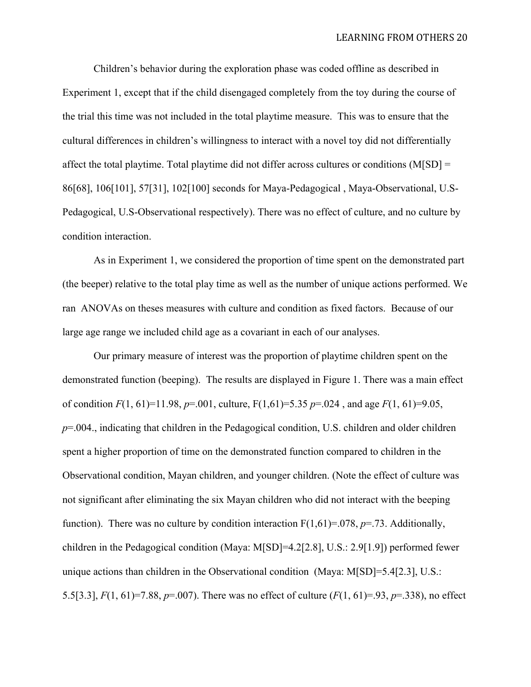Children's behavior during the exploration phase was coded offline as described in Experiment 1, except that if the child disengaged completely from the toy during the course of the trial this time was not included in the total playtime measure. This was to ensure that the cultural differences in children's willingness to interact with a novel toy did not differentially affect the total playtime. Total playtime did not differ across cultures or conditions (M[SD] = 86[68], 106[101], 57[31], 102[100] seconds for Maya-Pedagogical , Maya-Observational, U.S-Pedagogical, U.S-Observational respectively). There was no effect of culture, and no culture by condition interaction.

As in Experiment 1, we considered the proportion of time spent on the demonstrated part (the beeper) relative to the total play time as well as the number of unique actions performed. We ran ANOVAs on theses measures with culture and condition as fixed factors. Because of our large age range we included child age as a covariant in each of our analyses.

Our primary measure of interest was the proportion of playtime children spent on the demonstrated function (beeping). The results are displayed in Figure 1. There was a main effect of condition  $F(1, 61) = 11.98$ ,  $p = .001$ , culture,  $F(1, 61) = 5.35$   $p = .024$ , and age  $F(1, 61) = 9.05$ , *p*=.004., indicating that children in the Pedagogical condition, U.S. children and older children spent a higher proportion of time on the demonstrated function compared to children in the Observational condition, Mayan children, and younger children. (Note the effect of culture was not significant after eliminating the six Mayan children who did not interact with the beeping function). There was no culture by condition interaction  $F(1,61)=.078$ ,  $p=.73$ . Additionally, children in the Pedagogical condition (Maya: M[SD]=4.2[2.8], U.S.: 2.9[1.9]) performed fewer unique actions than children in the Observational condition (Maya: M[SD]=5.4[2.3], U.S.: 5.5[3.3], *F*(1, 61)=7.88, *p*=.007). There was no effect of culture (*F*(1, 61)=.93, *p*=.338), no effect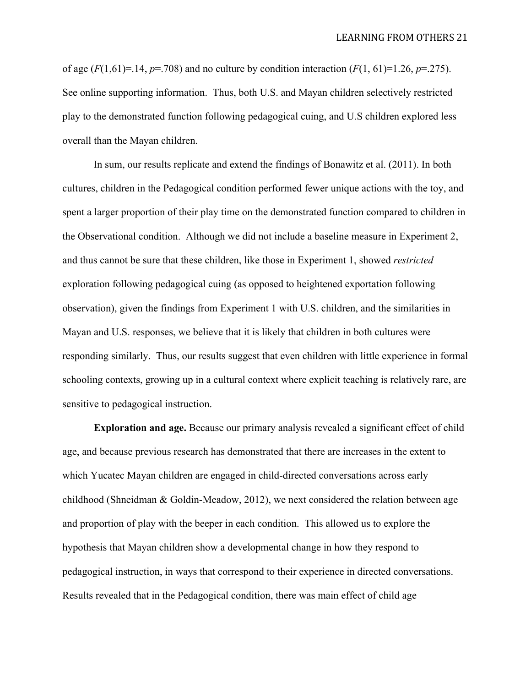of age  $(F(1,61)=14, p=.708)$  and no culture by condition interaction  $(F(1, 61)=1.26, p=.275)$ . See online supporting information. Thus, both U.S. and Mayan children selectively restricted play to the demonstrated function following pedagogical cuing, and U.S children explored less overall than the Mayan children.

In sum, our results replicate and extend the findings of Bonawitz et al. (2011). In both cultures, children in the Pedagogical condition performed fewer unique actions with the toy, and spent a larger proportion of their play time on the demonstrated function compared to children in the Observational condition. Although we did not include a baseline measure in Experiment 2, and thus cannot be sure that these children, like those in Experiment 1, showed *restricted* exploration following pedagogical cuing (as opposed to heightened exportation following observation), given the findings from Experiment 1 with U.S. children, and the similarities in Mayan and U.S. responses, we believe that it is likely that children in both cultures were responding similarly. Thus, our results suggest that even children with little experience in formal schooling contexts, growing up in a cultural context where explicit teaching is relatively rare, are sensitive to pedagogical instruction.

**Exploration and age.** Because our primary analysis revealed a significant effect of child age, and because previous research has demonstrated that there are increases in the extent to which Yucatec Mayan children are engaged in child-directed conversations across early childhood (Shneidman & Goldin-Meadow, 2012), we next considered the relation between age and proportion of play with the beeper in each condition. This allowed us to explore the hypothesis that Mayan children show a developmental change in how they respond to pedagogical instruction, in ways that correspond to their experience in directed conversations. Results revealed that in the Pedagogical condition, there was main effect of child age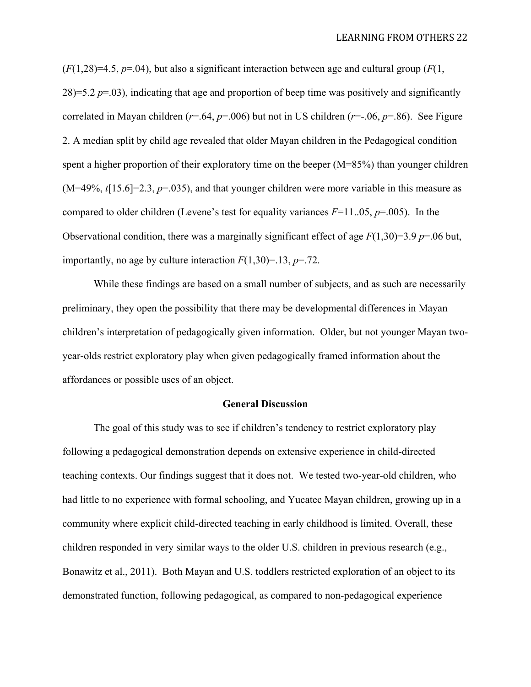$(F(1,28)=4.5, p=.04)$ , but also a significant interaction between age and cultural group  $(F(1, 1, 28))$  $28$ )=5.2 *p*=.03), indicating that age and proportion of beep time was positively and significantly correlated in Mayan children ( $r=0.64$ ,  $p=0.006$ ) but not in US children ( $r=-0.06$ ,  $p=.86$ ). See Figure 2. A median split by child age revealed that older Mayan children in the Pedagogical condition spent a higher proportion of their exploratory time on the beeper (M=85%) than younger children  $(M=49\%, t[15.6]=2.3, p=.035)$ , and that younger children were more variable in this measure as compared to older children (Levene's test for equality variances  $F=11.05$ ,  $p=.005$ ). In the Observational condition, there was a marginally significant effect of age  $F(1,30)=3.9$  *p*=.06 but, importantly, no age by culture interaction  $F(1,30)=13$ ,  $p=.72$ .

While these findings are based on a small number of subjects, and as such are necessarily preliminary, they open the possibility that there may be developmental differences in Mayan children's interpretation of pedagogically given information. Older, but not younger Mayan twoyear-olds restrict exploratory play when given pedagogically framed information about the affordances or possible uses of an object.

#### **General Discussion**

The goal of this study was to see if children's tendency to restrict exploratory play following a pedagogical demonstration depends on extensive experience in child-directed teaching contexts. Our findings suggest that it does not. We tested two-year-old children, who had little to no experience with formal schooling, and Yucatec Mayan children, growing up in a community where explicit child-directed teaching in early childhood is limited. Overall, these children responded in very similar ways to the older U.S. children in previous research (e.g., Bonawitz et al., 2011). Both Mayan and U.S. toddlers restricted exploration of an object to its demonstrated function, following pedagogical, as compared to non-pedagogical experience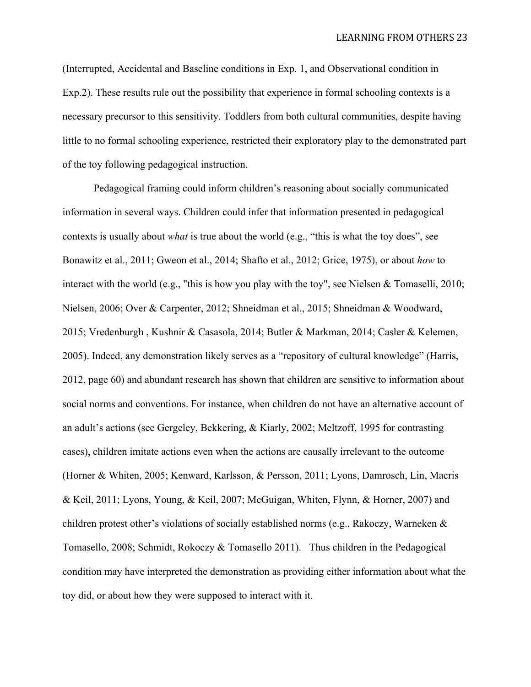(Interrupted, Accidental and Baseline conditions in Exp. 1, and Observational condition in Exp.2). These results rule out the possibility that experience in formal schooling contexts is a necessary precursor to this sensitivity. Toddlers from both cultural communities, despite having little to no formal schooling experience, restricted their exploratory play to the demonstrated part of the toy following pedagogical instruction.

Pedagogical framing could inform children's reasoning about socially communicated information in several ways. Children could infer that information presented in pedagogical contexts is usually about *what* is true about the world (e.g., "this is what the toy does", see Bonawitz et al., 2011; Gweon et al., 2014; Shafto et al., 2012; Grice, 1975), or about *how* to interact with the world (e.g., "this is how you play with the toy", see Nielsen  $\&$  Tomaselli, 2010; Nielsen, 2006; Over & Carpenter, 2012; Shneidman et al., 2015; Shneidman & Woodward, 2015; Vredenburgh , Kushnir & Casasola, 2014; Butler & Markman, 2014; Casler & Kelemen, 2005). Indeed, any demonstration likely serves as a "repository of cultural knowledge" (Harris, 2012, page 60) and abundant research has shown that children are sensitive to information about social norms and conventions. For instance, when children do not have an alternative account of an adult's actions (see Gergeley, Bekkering, & Kiarly, 2002; Meltzoff, 1995 for contrasting cases), children imitate actions even when the actions are causally irrelevant to the outcome (Horner & Whiten, 2005; Kenward, Karlsson, & Persson, 2011; Lyons, Damrosch, Lin, Macris & Keil, 2011; Lyons, Young, & Keil, 2007; McGuigan, Whiten, Flynn, & Horner, 2007) and children protest other's violations of socially established norms (e.g., Rakoczy, Warneken & Tomasello, 2008; Schmidt, Rokoczy  $\&$  Tomasello 2011). Thus children in the Pedagogical condition may have interpreted the demonstration as providing either information about what the toy did, or about how they were supposed to interact with it.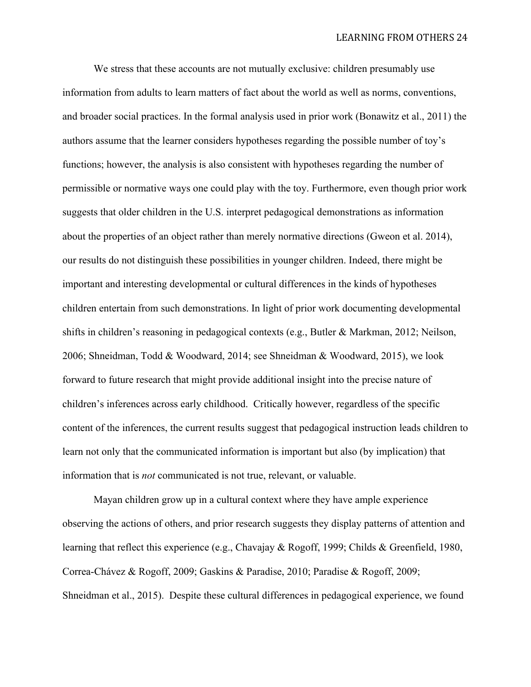We stress that these accounts are not mutually exclusive: children presumably use information from adults to learn matters of fact about the world as well as norms, conventions, and broader social practices. In the formal analysis used in prior work (Bonawitz et al., 2011) the authors assume that the learner considers hypotheses regarding the possible number of toy's functions; however, the analysis is also consistent with hypotheses regarding the number of permissible or normative ways one could play with the toy. Furthermore, even though prior work suggests that older children in the U.S. interpret pedagogical demonstrations as information about the properties of an object rather than merely normative directions (Gweon et al. 2014), our results do not distinguish these possibilities in younger children. Indeed, there might be important and interesting developmental or cultural differences in the kinds of hypotheses children entertain from such demonstrations. In light of prior work documenting developmental shifts in children's reasoning in pedagogical contexts (e.g., Butler & Markman, 2012; Neilson, 2006; Shneidman, Todd & Woodward, 2014; see Shneidman & Woodward, 2015), we look forward to future research that might provide additional insight into the precise nature of children's inferences across early childhood. Critically however, regardless of the specific content of the inferences, the current results suggest that pedagogical instruction leads children to learn not only that the communicated information is important but also (by implication) that information that is *not* communicated is not true, relevant, or valuable.

Mayan children grow up in a cultural context where they have ample experience observing the actions of others, and prior research suggests they display patterns of attention and learning that reflect this experience (e.g., Chavajay & Rogoff, 1999; Childs & Greenfield, 1980, Correa-Chávez & Rogoff, 2009; Gaskins & Paradise, 2010; Paradise & Rogoff, 2009; Shneidman et al., 2015). Despite these cultural differences in pedagogical experience, we found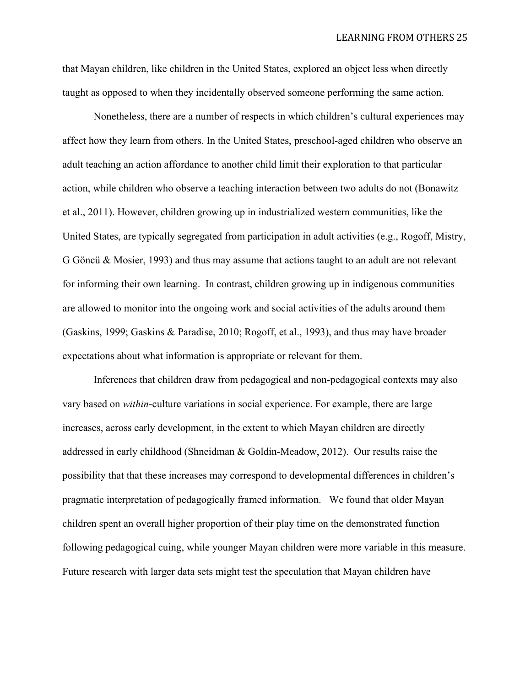that Mayan children, like children in the United States, explored an object less when directly taught as opposed to when they incidentally observed someone performing the same action.

Nonetheless, there are a number of respects in which children's cultural experiences may affect how they learn from others. In the United States, preschool-aged children who observe an adult teaching an action affordance to another child limit their exploration to that particular action, while children who observe a teaching interaction between two adults do not (Bonawitz et al., 2011). However, children growing up in industrialized western communities, like the United States, are typically segregated from participation in adult activities (e.g., Rogoff, Mistry, G Göncü & Mosier, 1993) and thus may assume that actions taught to an adult are not relevant for informing their own learning. In contrast, children growing up in indigenous communities are allowed to monitor into the ongoing work and social activities of the adults around them (Gaskins, 1999; Gaskins & Paradise, 2010; Rogoff, et al., 1993), and thus may have broader expectations about what information is appropriate or relevant for them.

Inferences that children draw from pedagogical and non-pedagogical contexts may also vary based on *within*-culture variations in social experience. For example, there are large increases, across early development, in the extent to which Mayan children are directly addressed in early childhood (Shneidman & Goldin-Meadow, 2012). Our results raise the possibility that that these increases may correspond to developmental differences in children's pragmatic interpretation of pedagogically framed information. We found that older Mayan children spent an overall higher proportion of their play time on the demonstrated function following pedagogical cuing, while younger Mayan children were more variable in this measure. Future research with larger data sets might test the speculation that Mayan children have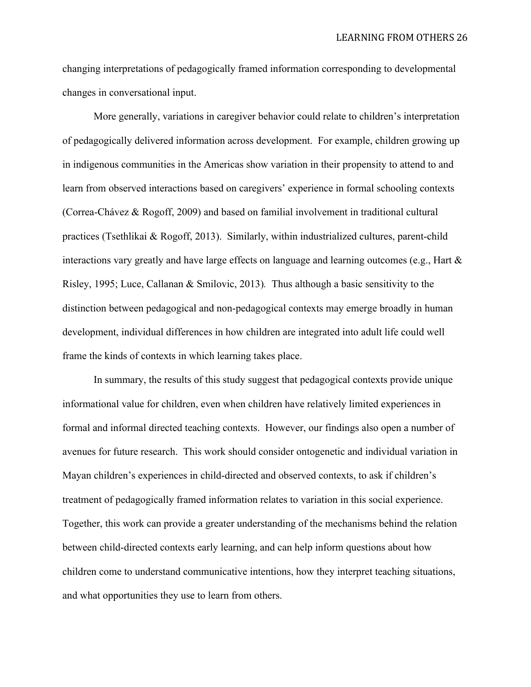changing interpretations of pedagogically framed information corresponding to developmental changes in conversational input.

More generally, variations in caregiver behavior could relate to children's interpretation of pedagogically delivered information across development. For example, children growing up in indigenous communities in the Americas show variation in their propensity to attend to and learn from observed interactions based on caregivers' experience in formal schooling contexts (Correa-Chávez & Rogoff, 2009) and based on familial involvement in traditional cultural practices (Tsethlikai & Rogoff, 2013). Similarly, within industrialized cultures, parent-child interactions vary greatly and have large effects on language and learning outcomes (e.g., Hart & Risley, 1995; Luce, Callanan & Smilovic, 2013)*.* Thus although a basic sensitivity to the distinction between pedagogical and non-pedagogical contexts may emerge broadly in human development, individual differences in how children are integrated into adult life could well frame the kinds of contexts in which learning takes place.

In summary, the results of this study suggest that pedagogical contexts provide unique informational value for children, even when children have relatively limited experiences in formal and informal directed teaching contexts. However, our findings also open a number of avenues for future research. This work should consider ontogenetic and individual variation in Mayan children's experiences in child-directed and observed contexts, to ask if children's treatment of pedagogically framed information relates to variation in this social experience. Together, this work can provide a greater understanding of the mechanisms behind the relation between child-directed contexts early learning, and can help inform questions about how children come to understand communicative intentions, how they interpret teaching situations, and what opportunities they use to learn from others.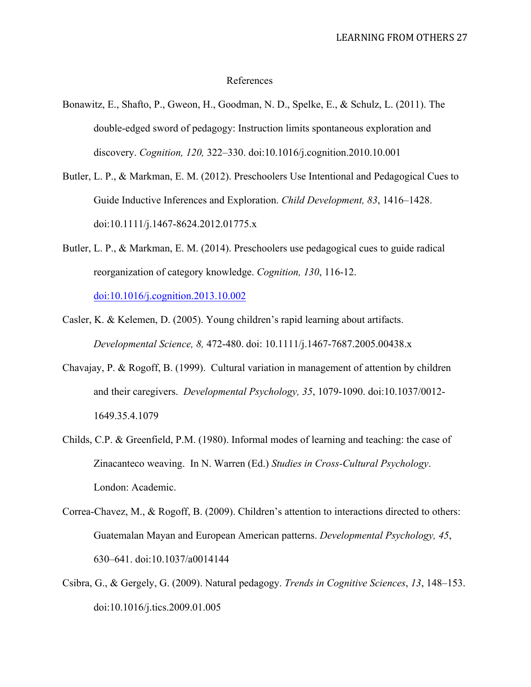## References

- Bonawitz, E., Shafto, P., Gweon, H., Goodman, N. D., Spelke, E., & Schulz, L. (2011). The double-edged sword of pedagogy: Instruction limits spontaneous exploration and discovery. *Cognition, 120,* 322–330. doi:10.1016/j.cognition.2010.10.001
- Butler, L. P., & Markman, E. M. (2012). Preschoolers Use Intentional and Pedagogical Cues to Guide Inductive Inferences and Exploration. *Child Development, 83*, 1416–1428. doi:10.1111/j.1467-8624.2012.01775.x
- Butler, L. P., & Markman, E. M. (2014). Preschoolers use pedagogical cues to guide radical reorganization of category knowledge. *Cognition, 130*, 116-12. doi:10.1016/j.cognition.2013.10.002
- Casler, K. & Kelemen, D. (2005). Young children's rapid learning about artifacts. *Developmental Science, 8,* 472-480. doi: 10.1111/j.1467-7687.2005.00438.x
- Chavajay, P. & Rogoff, B. (1999). Cultural variation in management of attention by children and their caregivers. *Developmental Psychology, 35*, 1079-1090. doi:10.1037/0012- 1649.35.4.1079
- Childs, C.P. & Greenfield, P.M. (1980). Informal modes of learning and teaching: the case of Zinacanteco weaving. In N. Warren (Ed.) *Studies in Cross-Cultural Psychology*. London: Academic.
- Correa-Chavez, M., & Rogoff, B. (2009). Children's attention to interactions directed to others: Guatemalan Mayan and European American patterns. *Developmental Psychology, 45*, 630–641. doi:10.1037/a0014144
- Csibra, G., & Gergely, G. (2009). Natural pedagogy. *Trends in Cognitive Sciences*, *13*, 148–153. doi:10.1016/j.tics.2009.01.005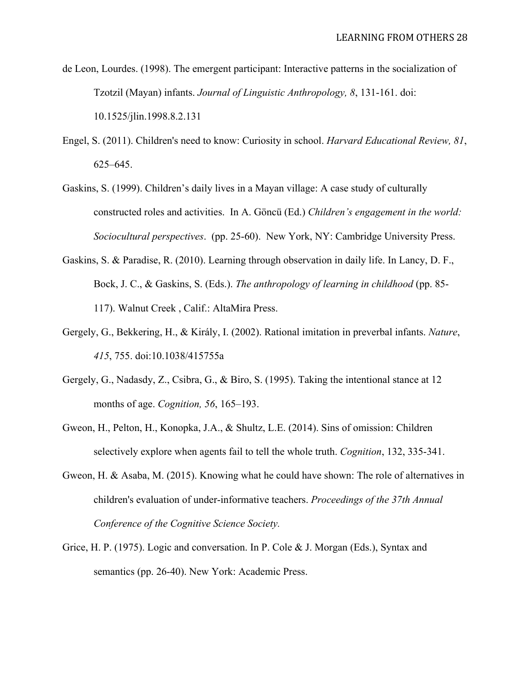de Leon, Lourdes. (1998). The emergent participant: Interactive patterns in the socialization of Tzotzil (Mayan) infants. *Journal of Linguistic Anthropology, 8*, 131-161. doi: 10.1525/jlin.1998.8.2.131

- Engel, S. (2011). Children's need to know: Curiosity in school. *Harvard Educational Review, 81*, 625–645.
- Gaskins, S. (1999). Children's daily lives in a Mayan village: A case study of culturally constructed roles and activities. In A. Göncü (Ed.) *Children's engagement in the world: Sociocultural perspectives*. (pp. 25-60). New York, NY: Cambridge University Press.
- Gaskins, S. & Paradise, R. (2010). Learning through observation in daily life. In Lancy, D. F., Bock, J. C., & Gaskins, S. (Eds.). *The anthropology of learning in childhood* (pp. 85- 117). Walnut Creek , Calif.: AltaMira Press.
- Gergely, G., Bekkering, H., & Király, I. (2002). Rational imitation in preverbal infants. *Nature*, *415*, 755. doi:10.1038/415755a
- Gergely, G., Nadasdy, Z., Csibra, G., & Biro, S. (1995). Taking the intentional stance at 12 months of age. *Cognition, 56*, 165–193.
- Gweon, H., Pelton, H., Konopka, J.A., & Shultz, L.E. (2014). Sins of omission: Children selectively explore when agents fail to tell the whole truth. *Cognition*, 132, 335-341.
- Gweon, H. & Asaba, M. (2015). Knowing what he could have shown: The role of alternatives in children's evaluation of under-informative teachers. *Proceedings of the 37th Annual Conference of the Cognitive Science Society.*
- Grice, H. P. (1975). Logic and conversation. In P. Cole & J. Morgan (Eds.), Syntax and semantics (pp. 26-40). New York: Academic Press.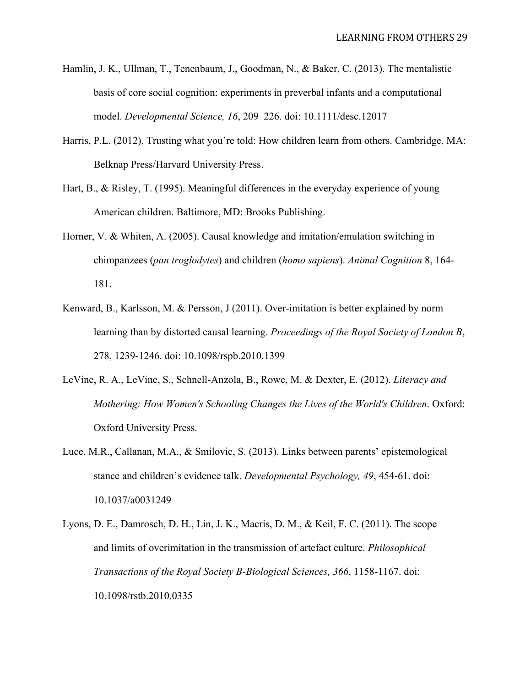- Hamlin, J. K., Ullman, T., Tenenbaum, J., Goodman, N., & Baker, C. (2013). The mentalistic basis of core social cognition: experiments in preverbal infants and a computational model. *Developmental Science, 16*, 209–226. doi: 10.1111/desc.12017
- Harris, P.L. (2012). Trusting what you're told: How children learn from others. Cambridge, MA: Belknap Press/Harvard University Press.
- Hart, B., & Risley, T. (1995). Meaningful differences in the everyday experience of young American children. Baltimore, MD: Brooks Publishing.
- Horner, V. & Whiten, A. (2005). Causal knowledge and imitation/emulation switching in chimpanzees (*pan troglodytes*) and children (*homo sapiens*). *Animal Cognition* 8, 164- 181.
- Kenward, B., Karlsson, M. & Persson, J (2011). Over-imitation is better explained by norm learning than by distorted causal learning. *Proceedings of the Royal Society of London B*, 278, 1239-1246. doi: 10.1098/rspb.2010.1399
- LeVine, R. A., LeVine, S., Schnell-Anzola, B., Rowe, M. & Dexter, E. (2012). *Literacy and Mothering: How Women's Schooling Changes the Lives of the World's Children*. Oxford: Oxford University Press.
- Luce, M.R., Callanan, M.A., & Smilovic, S. (2013). Links between parents' epistemological stance and children's evidence talk. *Developmental Psychology, 49*, 454-61. doi: 10.1037/a0031249
- Lyons, D. E., Damrosch, D. H., Lin, J. K., Macris, D. M., & Keil, F. C. (2011). The scope and limits of overimitation in the transmission of artefact culture. *Philosophical Transactions of the Royal Society B-Biological Sciences, 366*, 1158-1167. doi: 10.1098/rstb.2010.0335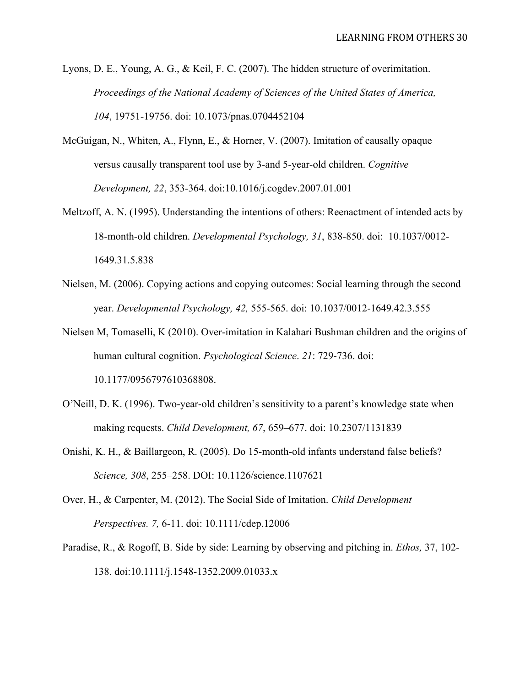- Lyons, D. E., Young, A. G., & Keil, F. C. (2007). The hidden structure of overimitation. *Proceedings of the National Academy of Sciences of the United States of America, 104*, 19751-19756. doi: 10.1073/pnas.0704452104
- McGuigan, N., Whiten, A., Flynn, E., & Horner, V. (2007). Imitation of causally opaque versus causally transparent tool use by 3-and 5-year-old children. *Cognitive Development, 22*, 353-364. doi:10.1016/j.cogdev.2007.01.001
- Meltzoff, A. N. (1995). Understanding the intentions of others: Reenactment of intended acts by 18-month-old children. *Developmental Psychology, 31*, 838-850. doi: 10.1037/0012- 1649.31.5.838
- Nielsen, M. (2006). Copying actions and copying outcomes: Social learning through the second year. *Developmental Psychology, 42,* 555-565. doi: 10.1037/0012-1649.42.3.555
- Nielsen M, Tomaselli, K (2010). Over-imitation in Kalahari Bushman children and the origins of human cultural cognition. *Psychological Science*. *21*: 729-736. doi: 10.1177/0956797610368808.
- O'Neill, D. K. (1996). Two-year-old children's sensitivity to a parent's knowledge state when making requests. *Child Development, 67*, 659–677. doi: 10.2307/1131839
- Onishi, K. H., & Baillargeon, R. (2005). Do 15-month-old infants understand false beliefs? *Science, 308*, 255–258. DOI: 10.1126/science.1107621
- Over, H., & Carpenter, M. (2012). The Social Side of Imitation. *Child Development Perspectives. 7,* 6-11. doi: 10.1111/cdep.12006
- Paradise, R., & Rogoff, B. Side by side: Learning by observing and pitching in. *Ethos,* 37, 102- 138. doi:10.1111/j.1548-1352.2009.01033.x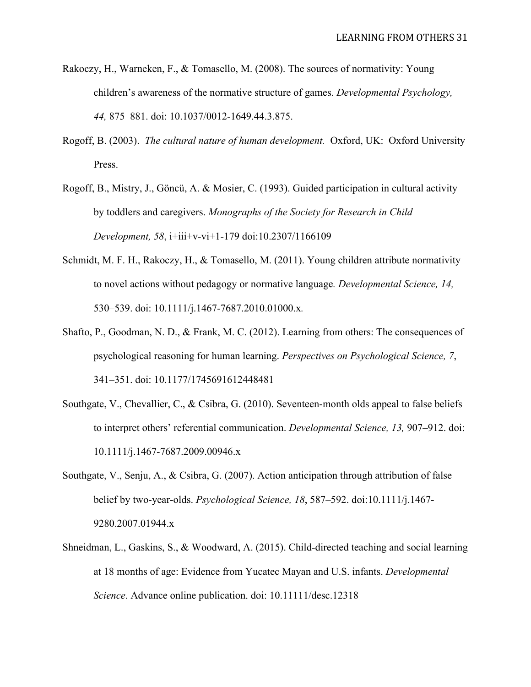- Rakoczy, H., Warneken, F., & Tomasello, M. (2008). The sources of normativity: Young children's awareness of the normative structure of games. *Developmental Psychology, 44,* 875–881. doi: 10.1037/0012-1649.44.3.875.
- Rogoff, B. (2003). *The cultural nature of human development.* Oxford, UK: Oxford University Press.
- Rogoff, B., Mistry, J., Göncü, A. & Mosier, C. (1993). Guided participation in cultural activity by toddlers and caregivers. *Monographs of the Society for Research in Child Development, 58*, i+iii+v-vi+1-179 doi:10.2307/1166109
- Schmidt, M. F. H., Rakoczy, H., & Tomasello, M. (2011). Young children attribute normativity to novel actions without pedagogy or normative language*. Developmental Science, 14,* 530–539. doi: 10.1111/j.1467-7687.2010.01000.x*.*
- Shafto, P., Goodman, N. D., & Frank, M. C. (2012). Learning from others: The consequences of psychological reasoning for human learning. *Perspectives on Psychological Science, 7*, 341–351. doi: 10.1177/1745691612448481
- Southgate, V., Chevallier, C., & Csibra, G. (2010). Seventeen-month olds appeal to false beliefs to interpret others' referential communication. *Developmental Science, 13,* 907–912. doi: 10.1111/j.1467-7687.2009.00946.x
- Southgate, V., Senju, A., & Csibra, G. (2007). Action anticipation through attribution of false belief by two-year-olds. *Psychological Science, 18*, 587–592. doi:10.1111/j.1467- 9280.2007.01944.x
- Shneidman, L., Gaskins, S., & Woodward, A. (2015). Child-directed teaching and social learning at 18 months of age: Evidence from Yucatec Mayan and U.S. infants. *Developmental Science*. Advance online publication. doi: 10.11111/desc.12318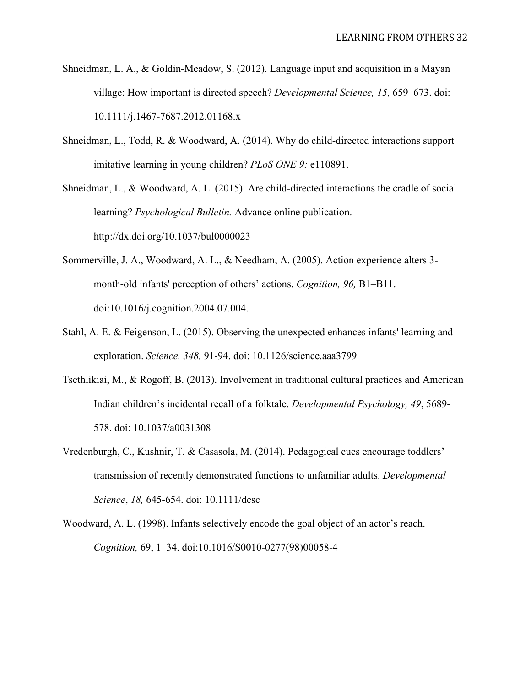- Shneidman, L. A., & Goldin-Meadow, S. (2012). Language input and acquisition in a Mayan village: How important is directed speech? *Developmental Science, 15,* 659–673. doi: 10.1111/j.1467-7687.2012.01168.x
- Shneidman, L., Todd, R. & Woodward, A. (2014). Why do child-directed interactions support imitative learning in young children? *PLoS ONE 9:* e110891.

Shneidman, L., & Woodward, A. L. (2015). Are child-directed interactions the cradle of social learning? *Psychological Bulletin.* Advance online publication. http://dx.doi.org/10.1037/bul0000023

- Sommerville, J. A., Woodward, A. L., & Needham, A. (2005). Action experience alters 3 month-old infants' perception of others' actions. *Cognition, 96,* B1–B11. doi:10.1016/j.cognition.2004.07.004.
- Stahl, A. E. & Feigenson, L. (2015). Observing the unexpected enhances infants' learning and exploration. *Science, 348,* 91-94. doi: 10.1126/science.aaa3799
- Tsethlikiai, M., & Rogoff, B. (2013). Involvement in traditional cultural practices and American Indian children's incidental recall of a folktale. *Developmental Psychology, 49*, 5689- 578. doi: 10.1037/a0031308
- Vredenburgh, C., Kushnir, T. & Casasola, M. (2014). Pedagogical cues encourage toddlers' transmission of recently demonstrated functions to unfamiliar adults. *Developmental Science*, *18,* 645-654. doi: 10.1111/desc
- Woodward, A. L. (1998). Infants selectively encode the goal object of an actor's reach. *Cognition,* 69, 1–34. doi:10.1016/S0010-0277(98)00058-4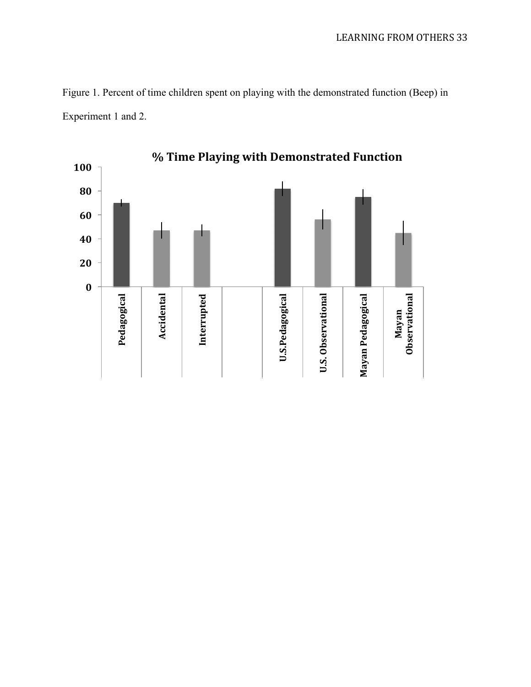

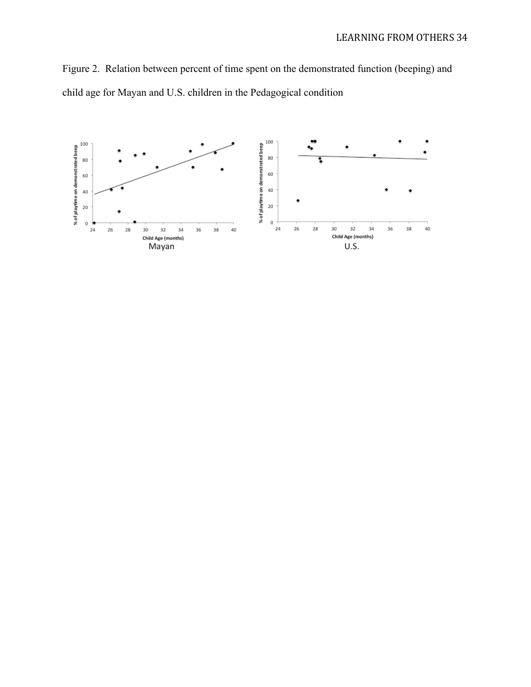Figure 2. Relation between percent of time spent on the demonstrated function (beeping) and child age for Mayan and U.S. children in the Pedagogical condition

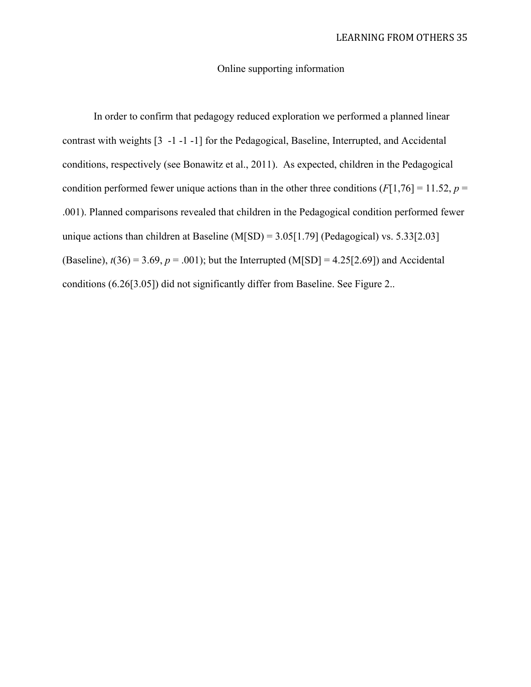# Online supporting information

In order to confirm that pedagogy reduced exploration we performed a planned linear contrast with weights [3 -1 -1 -1] for the Pedagogical, Baseline, Interrupted, and Accidental conditions, respectively (see Bonawitz et al., 2011). As expected, children in the Pedagogical condition performed fewer unique actions than in the other three conditions  $(F[1,76] = 11.52, p =$ .001). Planned comparisons revealed that children in the Pedagogical condition performed fewer unique actions than children at Baseline  $(M|SD) = 3.05[1.79]$  (Pedagogical) vs. 5.33[2.03] (Baseline),  $t(36) = 3.69$ ,  $p = .001$ ); but the Interrupted (M[SD] = 4.25[2.69]) and Accidental conditions (6.26[3.05]) did not significantly differ from Baseline. See Figure 2..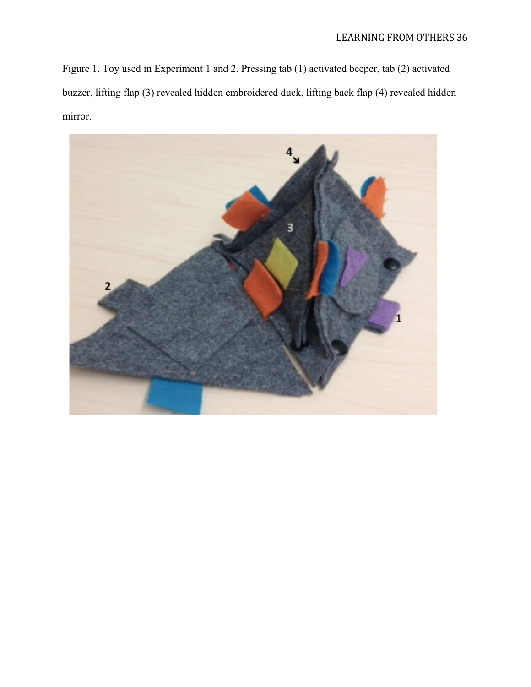Figure 1. Toy used in Experiment 1 and 2. Pressing tab (1) activated beeper, tab (2) activated buzzer, lifting flap (3) revealed hidden embroidered duck, lifting back flap (4) revealed hidden mirror.